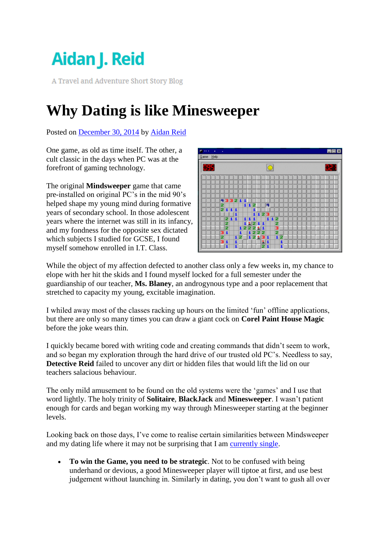## Aidan J. Reid

A Travel and Adventure Short Story Blog

## **Why Dating is like Minesweeper**

Posted on December 30, 2014 by Aidan Reid

One game, as old as time itself. The other, a cult classic in the days when PC was at the forefront of gaming technology.

The original **Mindsweeper** game that came pre-installed on original PC's in the mid 90's helped shape my young mind during formative years of secondary school. In those adolescent years where the internet was still in its infancy, and my fondness for the opposite sex dictated which subjects I studied for GCSE, I found myself somehow enrolled in I.T. Class.



While the object of my affection defected to another class only a few weeks in, my chance to elope with her hit the skids and I found myself locked for a full semester under the guardianship of our teacher, **Ms. Blaney**, an androgynous type and a poor replacement that stretched to capacity my young, excitable imagination.

I whiled away most of the classes racking up hours on the limited 'fun' offline applications, but there are only so many times you can draw a giant cock on **Corel Paint House Magic** before the joke wears thin.

I quickly became bored with writing code and creating commands that didn't seem to work, and so began my exploration through the hard drive of our trusted old PC's. Needless to say, **Detective Reid** failed to uncover any dirt or hidden files that would lift the lid on our teachers salacious behaviour.

The only mild amusement to be found on the old systems were the 'games' and I use that word lightly. The holy trinity of **Solitaire**, **BlackJack** and **Minesweeper**. I wasn't patient enough for cards and began working my way through Minesweeper starting at the beginner levels.

Looking back on those days, I've come to realise certain similarities between Mindsweeper and my dating life where it may not be surprising that I am currently single.

 **To win the Game, you need to be strategic**. Not to be confused with being underhand or devious, a good Minesweeper player will tiptoe at first, and use best judgement without launching in. Similarly in dating, you don't want to gush all over